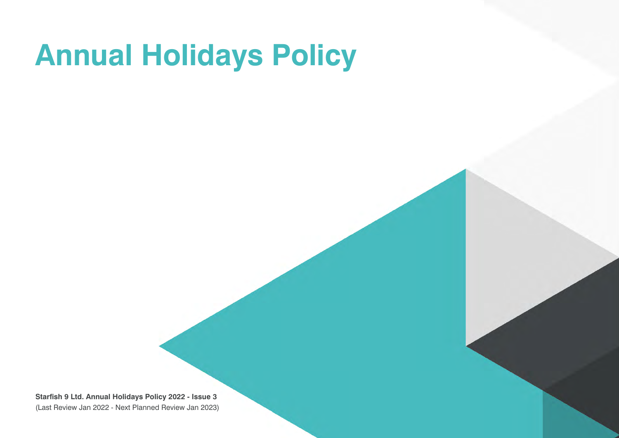# **Annual Holidays Policy**

**Starfish 9 Ltd. Annual Holidays Policy 2022 - Issue 3** (Last Review Jan 2022 - Next Planned Review Jan 2023)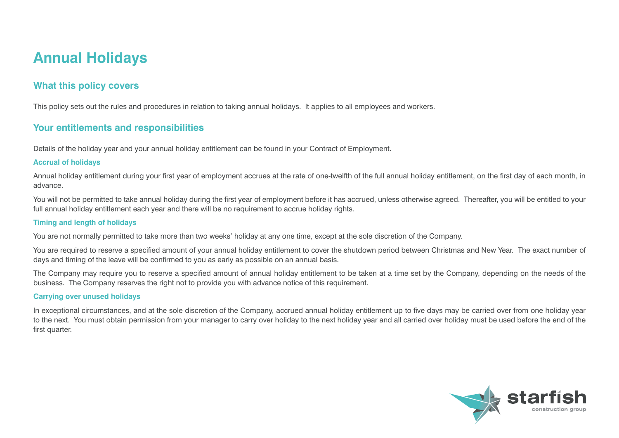# **Annual Holidays**

## **What this policy covers**

This policy sets out the rules and procedures in relation to taking annual holidays. It applies to all employees and workers.

### **Your entitlements and responsibilities**

Details of the holiday year and your annual holiday entitlement can be found in your Contract of Employment.

#### **Accrual of holidays**

Annual holiday entitlement during your first year of employment accrues at the rate of one-twelfth of the full annual holiday entitlement, on the first day of each month, in advance.

You will not be permitted to take annual holiday during the first year of employment before it has accrued, unless otherwise agreed. Thereafter, you will be entitled to your full annual holiday entitlement each year and there will be no requirement to accrue holiday rights.

#### **Timing and length of holidays**

You are not normally permitted to take more than two weeks' holiday at any one time, except at the sole discretion of the Company.

You are required to reserve a specified amount of your annual holiday entitlement to cover the shutdown period between Christmas and New Year. The exact number of days and timing of the leave will be confirmed to you as early as possible on an annual basis.

The Company may require you to reserve a specified amount of annual holiday entitlement to be taken at a time set by the Company, depending on the needs of the business. The Company reserves the right not to provide you with advance notice of this requirement.

#### **Carrying over unused holidays**

In exceptional circumstances, and at the sole discretion of the Company, accrued annual holiday entitlement up to five days may be carried over from one holiday year to the next. You must obtain permission from your manager to carry over holiday to the next holiday year and all carried over holiday must be used before the end of the first quarter.

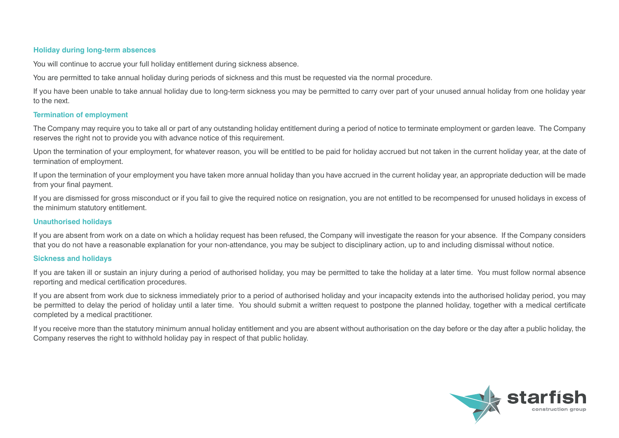#### **Holiday during long-term absences**

You will continue to accrue your full holiday entitlement during sickness absence.

You are permitted to take annual holiday during periods of sickness and this must be requested via the normal procedure.

If you have been unable to take annual holiday due to long-term sickness you may be permitted to carry over part of your unused annual holiday from one holiday year to the next.

#### **Termination of employment**

The Company may require you to take all or part of any outstanding holiday entitlement during a period of notice to terminate employment or garden leave. The Company reserves the right not to provide you with advance notice of this requirement.

Upon the termination of your employment, for whatever reason, you will be entitled to be paid for holiday accrued but not taken in the current holiday year, at the date of termination of employment.

If upon the termination of your employment you have taken more annual holiday than you have accrued in the current holiday year, an appropriate deduction will be made from your final payment.

If you are dismissed for gross misconduct or if you fail to give the required notice on resignation, you are not entitled to be recompensed for unused holidays in excess of the minimum statutory entitlement.

#### **Unauthorised holidays**

If you are absent from work on a date on which a holiday request has been refused, the Company will investigate the reason for your absence. If the Company considers that you do not have a reasonable explanation for your non-attendance, you may be subject to disciplinary action, up to and including dismissal without notice.

#### **Sickness and holidays**

If you are taken ill or sustain an injury during a period of authorised holiday, you may be permitted to take the holiday at a later time. You must follow normal absence reporting and medical certification procedures.

If you are absent from work due to sickness immediately prior to a period of authorised holiday and your incapacity extends into the authorised holiday period, you may be permitted to delay the period of holiday until a later time. You should submit a written request to postpone the planned holiday, together with a medical certificate completed by a medical practitioner.

If you receive more than the statutory minimum annual holiday entitlement and you are absent without authorisation on the day before or the day after a public holiday, the Company reserves the right to withhold holiday pay in respect of that public holiday.